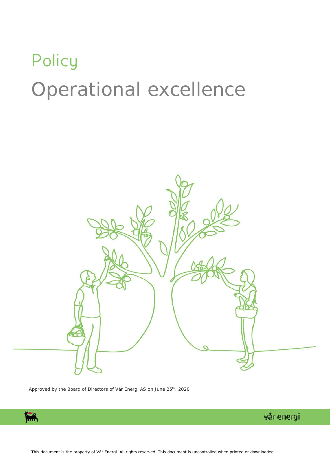## **Policy** Operational excellence



Approved by the Board of Directors of Vår Energi AS on June 25<sup>th</sup>, 2020

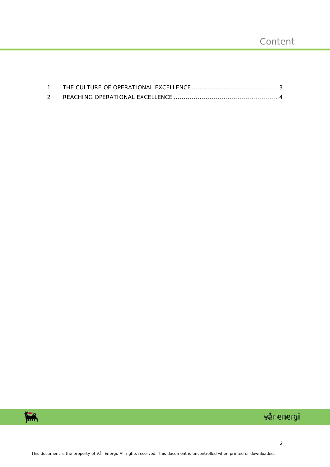

## vår energi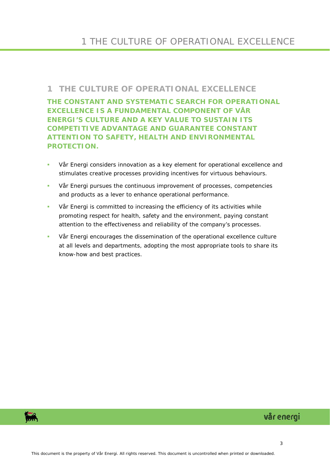## <span id="page-2-0"></span>**1 THE CULTURE OF OPERATIONAL EXCELLENCE**

**THE CONSTANT AND SYSTEMATIC SEARCH FOR OPERATIONAL EXCELLENCE IS A FUNDAMENTAL COMPONENT OF VÅR ENERGI'S CULTURE AND A KEY VALUE TO SUSTAIN ITS COMPETITIVE ADVANTAGE AND GUARANTEE CONSTANT ATTENTION TO SAFETY, HEALTH AND ENVIRONMENTAL PROTECTION.**

- Vår Energi considers innovation as a key element for operational excellence and stimulates creative processes providing incentives for virtuous behaviours.
- Vår Energi pursues the continuous improvement of processes, competencies and products as a lever to enhance operational performance.
- Vår Energi is committed to increasing the efficiency of its activities while promoting respect for health, safety and the environment, paying constant attention to the effectiveness and reliability of the company's processes.
- Vår Energi encourages the dissemination of the operational excellence culture at all levels and departments, adopting the most appropriate tools to share its know-how and best practices.